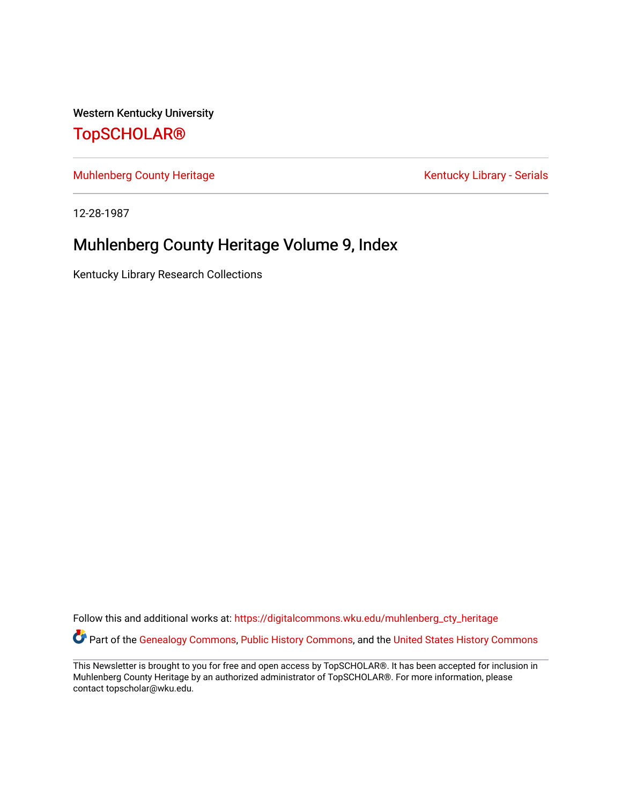Western Kentucky University

## [TopSCHOLAR®](https://digitalcommons.wku.edu/)

[Muhlenberg County Heritage](https://digitalcommons.wku.edu/muhlenberg_cty_heritage) **Kentucky Library - Serials** Kentucky Library - Serials

12-28-1987

## Muhlenberg County Heritage Volume 9, Index

Kentucky Library Research Collections

Follow this and additional works at: [https://digitalcommons.wku.edu/muhlenberg\\_cty\\_heritage](https://digitalcommons.wku.edu/muhlenberg_cty_heritage?utm_source=digitalcommons.wku.edu%2Fmuhlenberg_cty_heritage%2F19&utm_medium=PDF&utm_campaign=PDFCoverPages)  Part of the [Genealogy Commons,](http://network.bepress.com/hgg/discipline/1342?utm_source=digitalcommons.wku.edu%2Fmuhlenberg_cty_heritage%2F19&utm_medium=PDF&utm_campaign=PDFCoverPages) [Public History Commons](http://network.bepress.com/hgg/discipline/1292?utm_source=digitalcommons.wku.edu%2Fmuhlenberg_cty_heritage%2F19&utm_medium=PDF&utm_campaign=PDFCoverPages), and the United States History Commons

This Newsletter is brought to you for free and open access by TopSCHOLAR®. It has been accepted for inclusion in Muhlenberg County Heritage by an authorized administrator of TopSCHOLAR®. For more information, please contact topscholar@wku.edu.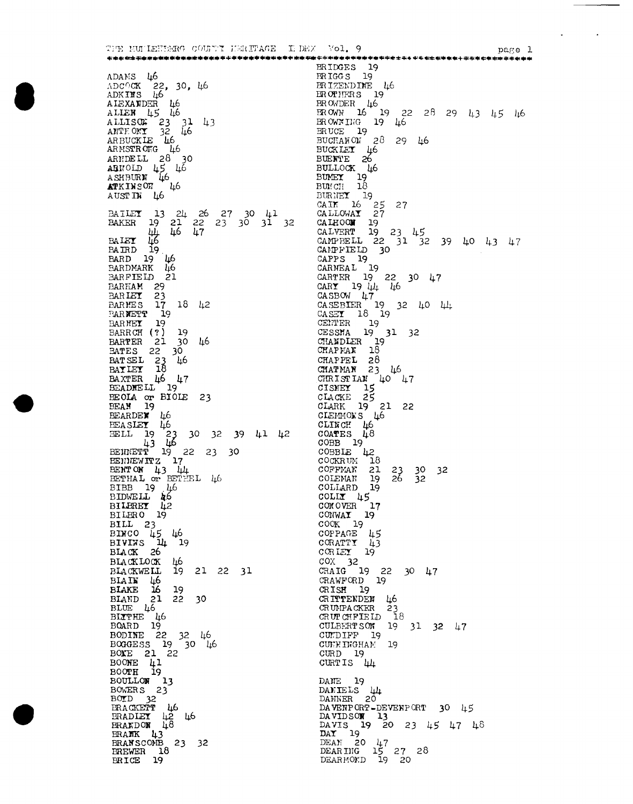THE MULLEHEMRG COUNTY HERITAGE IN DEX Vol. 9 ADAMS 46<br>ADCOCK 22, 30, 46<br>ADKINS 46<br>ALEXANDER 46<br>ALLEN 45 46<br>ALLISON 23 31 43<br>ANTEONI 32 46<br>ARBUCKLE 46<br>ARBUCKLE 46<br>ARBUCKLE 46 ARENDELL 28 30<br>
ARENDELL 28 30<br>
ABROLD 45 46<br>
ASHBURN 46<br>
AUSTIR 46<br>
AUSTIR 46 BATLEY 13 24 26 27 30 41<br>BAKER 19 21 22 23 30 31 32<br>(44 46 47<br>BAIEY 46 47<br>BARD 19 46<br>BARD 19 46<br>BARDMARK 46<br>BARDMARK 46 ETHER OF BELLEVILLE BILBRO 19<br>
BILL 23<br>
BINCO 45 46<br>
BIVINS 14 19<br>
BLACK 26<br>
BLACKLOCK 46<br>
BLACKWELL 19 21 22 31<br>
BLATN 46<br>
BLAKE 16 19<br>
BLAKE 12 22 30<br>
BLAND 21 22 30<br>
BLUE 46<br>
BLTTHE 46  $\begin{tabular}{l} BLDE & $46$ \\ B13T1H1E & $16$ \\ B0ARD & $19$ \\ B0DINE & $22$ & $32$ \\ BO0XE & $21$ & $22$ \\ B00TE & $41$ \\ B00TE & $41$ \\ B00TE & $41$ \\ B00TH1.0T & $13$ \\ \end{tabular}$ BOOTH 19<br>BOULLOW 13<br>BOWERS 23<br>BOTD 32<br>BRACKETT 42 46<br>BRAKDOW 48<br>BRAKK 43<br>BRANK 43<br>BRANSCONB 23 32<br>EREWER 18<br>BRICE 19

nage 1 BRIDGES 19<br>BRIGGS 19<br>BRIZENDINE 46 ENIGES 19<br>
ERIZENDINE 46<br>
EROCHERS 19<br>
EROWDER 46<br>
EROWN 16 19 22 28 29 43 45 46<br>
EROCHER 19<br>
EROCHERS 19<br>
BUCKLET 46<br>
BUCKLET 46<br>
BUCKLET 46<br>
BUCKLET 19<br>
BUCKLET 19<br>
BUCKLET 19<br>
BUCKET 19<br>
CALNERT 19 23 45<br>
CALNEREL 22 31 CAPPS 19<br>
CARPS 19<br>
CARNEAL 19<br>
CARNEAL 19<br>
CARNEAL 19<br>
CARNEAL 19<br>
CARNEAL 19<br>
CARNEAL 19<br>
CARS<br>
CARS 19<br>
CENTER 19<br>
CENTER 19<br>
CENTER 19<br>
CHAPPEL 28<br>
CHAPPEL 28<br>
CHAPPEL 28<br>
CHAPPEL 28<br>
CHAPREL 28<br>
CHAPREL 28<br>
CHAPREL 28 COBB L9<br>COCKRUM 18<br>COCKRUM 18<br>COCKRUM 21 23 30 32<br>COLLARD 19<br>COLLARD 19 COLLARD 19<br>
COLLARD 19<br>
COLLARD 19<br>
CONVER 17<br>
CONVER 17<br>
CONVER 19<br>
CORATT 14<br>
CORATT 14<br>
CORATT 19<br>
CORATT 19<br>
COX 32<br>
CRAIG 19 22 30 47<br>
CRAWFORD 19<br>
CRIST 19<br>
CRIST 19<br>
CRIST 19<br>
CRITTENDEM 46<br>
CROTPACKER 23<br>
CRUTTENDE CUEFINGHAM 19 CURD 19<br>CURTIS 44 DANE 19 DANIELS 44 DANNER 20<br>DAVERPORT-DEVENPORT 30 45<br>DAVIDSON 13<br>DAVIS 19 20 23 45 47 48<br>DAY 19<br>DEAN 20 47<br>DEAN 20 47<br>DEARING 15 27 28<br>DEARING 19 20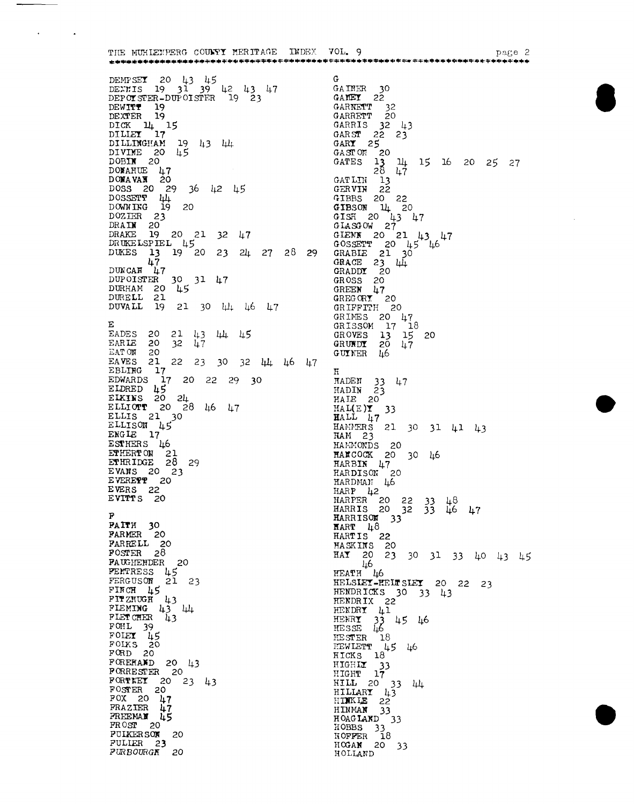THE MUHIENPERG COUNTY MERITAGE INDEX VOL. 9 parte 2 DEMPSE**T** 20 43 45<br>DENTIS 19 31 39 42 43 47<br>DEPOTSTER-DUPOISTER 19 23  $\mathbf{G}$ GAINER 30<br>GANEY 22 GARRET  $22$ <br>
GARRET  $32$ <br>
GARRET  $20$ <br>
GARRIS  $32$  43<br>
GARY  $22$  23<br>
GARY  $25$ DEWITT 19<br>DEXTER 19 DEXTER 19<br>DICK 14 15<br>DILLEY 17<br>DILLINGHAM 19 43 44<br>DIVINE 20 45<br>DOBIN 20 GARY 25<br>
GARY 25<br>
GARY 20<br>
GARY 20<br>
CATLIN 13<br>
GERVIN 22<br>
GERVIN 22<br>
GIBBS 20 22<br>
GIBBS 20 22<br>
GIBS 20 41<br>
CISON 11<br>
GISON 27<br>
GIENN 20 21 43 47<br>
GOSSETT 20 45 46<br>
GRABLE 21 30<br>
GRABLE 21 30<br>
GRABLE 21 30<br>
GRABLE 21 30<br>
GR DOBIN 20<br>
DONAHUE 47<br>
DONAWAN 20<br>
DOSS 20 29 36 42 45<br>
DOSSETT 44<br>
DONAWAN 19 20<br>
DOZIER 23<br>
DRAIN 20<br>
DRAIN 20<br>
DRAIN 20<br>
DRAIN 20<br>
DRAIN 20<br>
DRAIN 20<br>
DRAIN 20<br>
DRAIN 20<br>
DRAIN 20<br>
DRAIN 20<br>
DRAIN 20<br>
DRAIN 20<br>
DRAIN 20<br> DUKES 13 19<sup>-20</sup> 23 24 27 28 29  $117$ DUNCAN 417<br>
DUPOISTER 30 31 47<br>
DURHAM 20 45 DURELL 21<br>DUVALL 19 21 30 44 46 47 GRIMES 20 47<br>GRIMES 20 47<br>GROVES 13 15<br>GROWDY 20 47<br>GUYNER 46 E<br>
EADES 20 21 43 44 45<br>
EARIE 20 32 47<br>
EATOM 20<br>
EAVES 21 22 23 30 32 44 46 47<br>
EBLING 17<br>
EDMARDS 17 20 22 29 30<br>
ELDRED 45<br>
ELLIONT 20 28 46 47<br>
ELLISON 45<br>
ELLISON 45<br>
ERGLE 17<br>
ERGLE 17  $E$ 20 Ħ **HADEN** 33 47<br>
HADIN 23<br>
HAIE 20 HAL(E)  $\overline{Y}$  33<br>
HALL  $\mu$ 7<br>
HAMMERS 21 30 31 41 43<br>
HAMMERS 21 30 31 41 43 ENRISON<br>
ENGIE 17<br>
ESTHERS 46<br>
ETHERT ON 21<br>
EVANS 20 23<br>
EVANS 20 23<br>
WANS 20 23 HAM 25<br>
HAMMONDS 20<br>
HAMCOOK 20 30 46<br>
HARBIN 47<br>
HARDMAN 46<br>
HARP 42<br>
HARP 420 22 33 EVERETT 20 HARPER 20 22 33 48<br>
HARRIS 20 32 33 46 47<br>
HARRISON 33<br>
HARRISON 33<br>
HARR 48 PAITH 30<br>PARMER 20 HART 40<br>
HARTIS 22<br>
HASKINS 20<br>
HAT 20 23 30 31 33 40 43 45<br>
HEATH 46<br>
HEATH 46<br>
HEATH 46 FARRELL 20 POSTER 28<br>PAUGHENDER 20 FAUTHENDER 20<br>
FERGUSON 21 2<br>
FIRCH 45<br>
FIRCH 43<br>
FIRMING 43 44<br>
FLETCHER 43<br>
FLETCHER 43<br>
FOHL 39 HELSLEY-HELT SLEY 20 22 23<br>HENDRICKS 30 33 43 23 HENDRIX 22 HENDRIX 22<br>
HENDRY 41<br>
HENRY 33 45 46<br>
HESSE 46<br>
HESTER 18<br>
HENLETT 45 46<br>
HENLETT 45 46 FLETCHER<br>FOIET 45<br>FOIET 45<br>FORD 20<br>FORD 20 HEWLETT 45 46<br>HIGHLY 33<br>HIGHLY 33<br>HIGHLY 17<br>HILLARY 43 44<br>HIMKLE 22<br>HIMMAN 33<br>HOGAND 33<br>HOBBS 33<br>HOFFER 18<br>HOGAN 20 33<br>HOFFER 18<br>HOGAN 20 33 FORD 20<br>
FORERAND 20 43<br>
PORRESTER 20 23 43<br>
FOSTER 20 23 43<br>
FOSTER 20<br>
POX 20 47<br>
FRAZIER 47<br>
FREEMAN 45<br>
FROST 20<br>
FUKERSON 20<br>
FUKERSON 20<br>
FUKERSON 20<br>
FUKERSON 20 FULIER<sub>23</sub> FURBOURGK 20 HOLLAND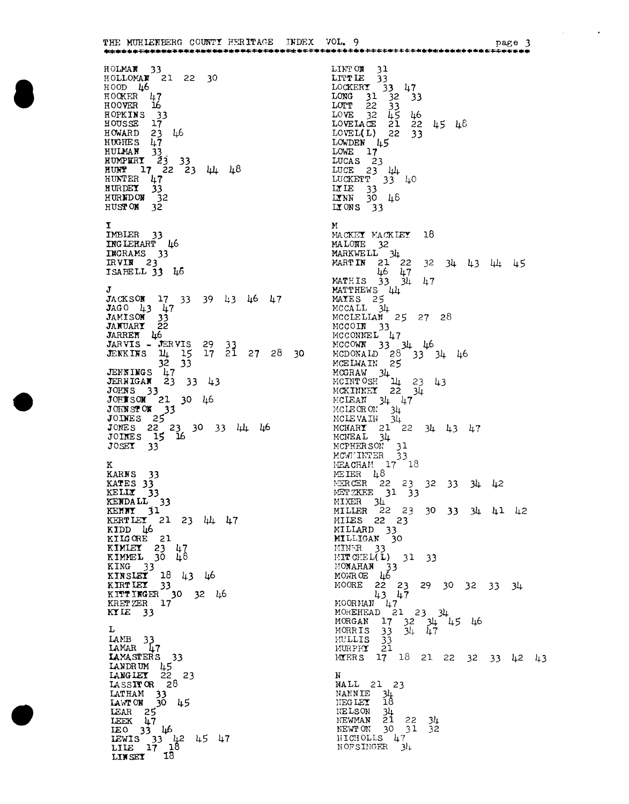THE MUHIEFBERG COUNTY HERITAGE INDEX VOL. 9 HOLMAN 33<br>HOLLOMAN 21 22 30<br>HOOD 46 HOOD 46<br>
HOOKER 47<br>
HOOKER 15<br>
HOYER 16<br>
HOUSSE 7<br>
HOWARD 23 46<br>
HUGHES 47<br>
HUGHES 47<br>
HUMAN 33<br>
HUMPER 23 33<br>
HUMPER 47 22 23 44 48<br>
HUNDER 47<br>
HURDEY 33<br>
HURDEY 33<br>
HURDEY 33<br>
HURDEY 32<br>
HUGHER 47<br>
HUGHER 47<br>
HUGHER 47<br> IMBLER IMBLER 33<br>INGLEHART 46 INGRAMS 33 ISABELL 33 46 JACKSOM 17 33 39 43 46 47<br>JAGO 43 47<br>JAMISON 33<br>JANUARY 22 **JARREN 46**<br> **JARVIS - JERVIS 29 33**<br> **JEKKINS 14 15 17 21 27 28 30**<br> **JEKKINS 47**<br> **JERNINGS 47**<br> **JERNINGS 47**<br> **JERNINGS 43**<br> **JOHNS 33**<br> **JOHNS 22 23 30 44**<br>
JOHNS 22 23 30 33 44 46<br>
JOHNS 22 23 30 33 44 46<br>
JOHNS 22 2 JARREN 46 к KARNS 33 AARNS 33<br>
KATES 33<br>
KELLY 33<br>
KENDALL 33<br>
KENNY 31<br>
KERTLEY 21 23 44 47<br>
KIDD 46<br>
KILOGE 31 KIDD 46<br>
KILGORE 21<br>
KIMLET 23 47<br>
KIMLEL 30 48<br>
KING 33<br>
KIRSLET 18 43 46<br>
KIRTLET 33<br>
KITTINGER 30 32 46<br>
KRETZER 17<br>
KRIET 33 KTIE  $33$ L LAMB 33<br>LAMAR 47 LAMAR 47<br> **LAMASTERS** 33<br>
LANGLEY 22<br>
LASSITOR 28 23 LASSITOR 28<br>
LATHAM 33<br>
LAMTON 30 45<br>
LEAR 25<br>
LEEK 47<br>
LEC 33 46<br>
LEWIS 33 42 45 47<br>
LILE 17 18<br>
LINSET 18

LINT OM 31<br>
LITT LE 33<br>
LOCKERY 33 47<br>
LONG 31 32 33<br>
LOTT 22 33<br>
LOVE 32 45 46<br>
LOVELAGE 21 22 45 46<br>
LOVELAGE 21 22 45 46<br>
LOVELAGE 21 22 45 46<br>
LOVELAGE 21 22 45 46<br>
LOVELAGE 21 22 45 LOVEL(L) 22 3<br>
LOWDEN 45<br>
LOWE 17<br>
LUCAS 23<br>
LUCE 23 44<br>
LUCKETT 33 40<br>
LUCKETT 33 40<br>
LILE 33<br>
LINN 30 46<br>
LIONS 33  $M$ MACKEY MACKLEY 18 MACKEY MACKLEY 18<br>
MALONE 32<br>
MARKWELL 34<br>
MARTIN 21 22 32 34 43 44 45<br>
MATHIS 33 34 47<br>
MATHIS 33 44<br>
MATHIS 34<br>
MCCALL 34<br>
MCCLELIAN 25 27 28<br>
MCCLELIAN 25 27 28<br>
MCCLELIAN 25 27 28<br>
MCCOIN 33<br>
MCCONNEL 47<br>
MCCONNEL 47<br> MCCONNEL 47<br>MCCOWN 33 34 46<br>MCDONALD 28 33 34 46<br>MCELWAIN 25<br>MCGRAW 34<br>MCINTOSH 14 23 43<br>MCKENNEX 22 34<br>MCKENNEX 22 34 MCKINNEY 22 34<br>
MCHEAN 34 47<br>
MCHEAN 34 47<br>
MCHEAN 34<br>
MCHEAN 34<br>
MCHEAN 34<br>
MCHEAN 34<br>
MCHEAN 34<br>
MCHEAN 34<br>
MCHEAN 34<br>
MCHEAN 33<br>
MEACHAM 17 18<br>
MEIER 48<br>
MER 48<br>
MER 48<br>
MER 48<br>
MER 22 23 32 33 34 42<br>
MIXER 34<br>
MIXER 34 MILLIGAN 30<br>
MINER 33<br>
MITCHEL(L) 31 33<br>
MONARAN 33<br>
MONARAN 33<br>
MONROE 22 23 29 30 32 33 34<br>
43 47<br>
MOORNAN 47<br>
MORNAN 17 32 34<br>
MORGAN 17 32 34 45 46<br>
MORGAN 17 32 34 45 46<br>
MORGAN 17 32 34 47<br>
MURGAN 17 32 34 47<br>
MURGAN  $\mathbf{N}$ NALL 21 23 NANNIE 34 NEGLEY 18<br>NELSON 34<br>NEWMAN 21 22<br>NEWTON 30 31<br>NICHOLLS 47<br>NOFSINGER 34  $34$  $32$ 

 $\mathcal{A}$ 

 $\sim 10^{-10}$  m  $^{-1}$ 

page 3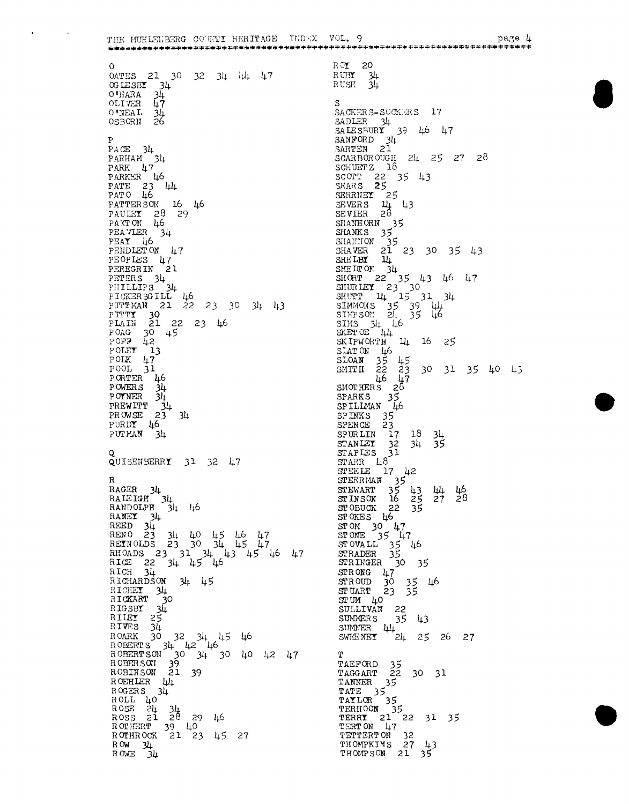THE MUHLEMBERG COUNTY HERITAGE INDEX VOL. 9  $\begin{array}{cc} \text{R} \, \text{OT} & 20 \\ \text{R} \, \text{U} \text{BT} & 3l \\ \text{R} \, \text{USH} & 3l \end{array}$  $\Omega$ OATES 21 30 32 34 44 47  $34$ OGLESBY 34 -34  $\mathbf{S}$ 0'NEAL 34  $34$ SACKERS-SOCKERS 17 SADLER 34<br>
SALESBURY 39 46 47<br>
SARTEN 21<br>
SARTEN 21 P PACE 34<br>PARHAM 34 SCARBOROUGH 24 25 27 28<br>SCHUETZ 18 PARK 47 SCOTT 22 35 43 PARKER 46 PARKER 46<br>PATE 23 444<br>PATO 46<br>PATERSON 16<br>PATER 34<br>PEAVIER 34<br>PEAVIER 34<br>PEAVIER 46<br>PEAVIER 46 SERRIEY 25<br>SEVERS 14 43<br>SEVER 28 - 46 SEVIER 28<br>
SHANHORN 35<br>
SHANKS 35<br>
SHANKS 35<br>
SHANER 21 23 30 35 43<br>
SHELBY 14<br>
SHELRY 14<br>
SHELRY 22 35 43 46 47<br>
SHORT 22 35 43 46<br>
SHORT 14 15 31 34<br>
SIMMONS 35 39 44<br>
SIMMONS 35 39 44<br>
SIMMONS 35 39 44<br>
SIMMONS 35 39 44 PENDLET ON 47 PEOPLES 47<br>PEREGRIN 21 PETERS 34 PICKERSGILL 46<br>PICKERSGILL 46<br>PITTMAN 21 22 23 30 34 43 FITTMAN 21 22 23 1<br>
PITTY 30<br>
PLAIN 21 22 23 46<br>
POAG 30 45<br>
POFP 42<br>
POLEY 13<br>
POLEY 13 SAITON 44 16 25<br>
SLATON 46<br>
SLOAN 35 45<br>
SMITH 22 23 30 31 35 40 43<br>
46 47<br>
SMOTHERS 28<br>
SPARKS 35<br>
SPILMAN 46<br>
SPARKS 46  $\begin{bmatrix} \text{POIK} & \downarrow \\ \text{POOL} & \updownarrow \\ \text{P} & \updownarrow \\ \end{bmatrix}$ PORTER<br>PORTER 146<br>PORTER 34<br>PREWITT 34<br>PROWSE 23 34 SPINKS 35<br>SPENGE 23<br>SPENGE 23<br>STANIET 32 34 35<br>STAPIES 31<br>STAPIES 31  $PURDY$  46 PUTMAN  $34$ STANIET 32 34<br>
STAPIES 31<br>
STARR 48<br>
STEELE 17 42<br>
STEERMAN 35<br>
STEERMAN 35<br>
STEWART 35 43<br>
STOKES 46 25<br>
STOKES 46<br>
STOKES 46<br>
STOKES 46<br>
TOKES 46<br>
17 QUISENBERRY 31 32 47  $\mathbf R$ RAGER 34<br>RAIEIGH 34<br>RANDOLPH 34 46 44 46<br>27 28 RANDOLPH 34 46<br>
RANEY 34<br>
REED 34<br>
REED 34 40 45 46 47<br>
REENOLDS 23 30 34 45 47<br>
REENOLDS 23 30 34 45 47<br>
RICE 22 34 45 46<br>
RICE 22 34 45 46<br>
RICE 22 34 45 46<br>
RICE 22 34 45 46 STOKES 46<br>
STOM 30 47<br>
STOWALL 35 46<br>
STOVALL 35 46<br>
STRADER 35<br>
STRADER 30 35<br>
STROWG 47<br>
STUART 23 35<br>
STUART 23 35<br>
STUART 23 35 RICHARDSON 34 45 - 46 RICHARDSON 34 45<br>
RICHART 30<br>
RICKART 30<br>
RICSBY 34<br>
RILEY 25<br>
RIVES 34<br>
ROARK 30 32 34 45 46<br>
ROBERTS 34 42 46<br>
ROBERTSON 30 34 30 40 42 47<br>
ROBERTSON 30 34 30 40 42 47<br>
ROBERTSON 39 34 30 40 42 47<br>
ROBERSON 21 39<br>
ROBERS STUM 40 SULLIVAN 22<br>SULLIVAN 22<br>SULLIVAN 25 43<br>SULLIVAN 24 25 26 27  $\mathbf T$ T<br>
TAEFORD 35<br>
TAGGART 22 30 31<br>
TANNER 35<br>
TATE 35<br>
TATE 35<br>
TATE 35<br>
TERHOON 35<br>
TERN 21 22 31 35<br>
TERT 21 22 31 35<br>
TERTON 47<br>
TETTERTON 32<br>
THOMPKINS 27 43<br>
THOMPKINS 27 43<br>
THOMPSON 21 35  $R$  OEHLER  $\mu$ <sub>1</sub><br>R OGERS 34 ROGERS 34<br>
ROSE 24 34<br>
ROSE 24 34<br>
ROSS 21 28 29 46<br>
ROTHERT 39 40<br>
ROTHEOCK 21 23 45 27  $ROW = 34$ <br> $ROWE = 34$ 

page *L* 

 $\mathbf{A}$ 

 $\sim$   $\sim$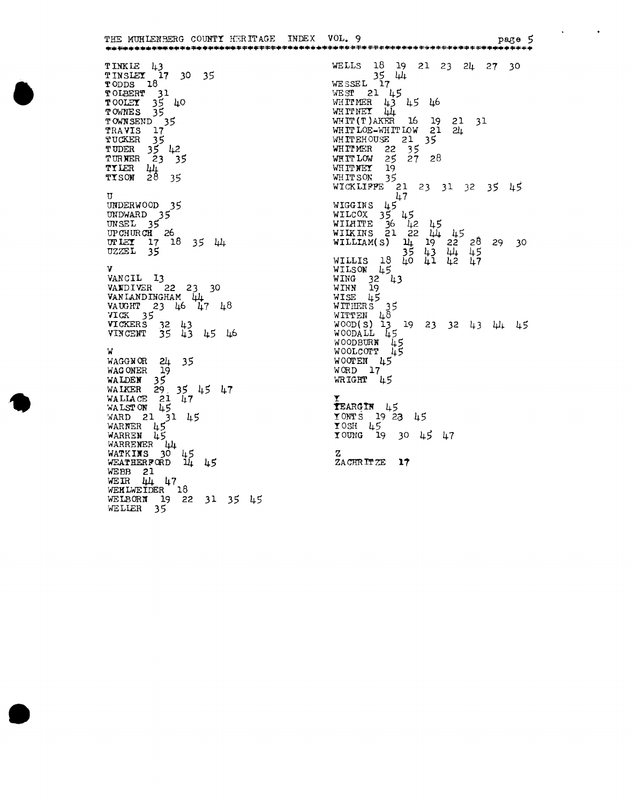THE MUHLENBERG COUNTY HERITAGE INDEX VOL. 9 page 5 WELLS 18 19 21 23 24 27 30<br>WESSEL 17 TINKLE 43<br>TINSLEY 17 30 35<br>TODDS 18 WESSEL 17<br>
WEST 21 45<br>
WHITMER 43 45 46<br>
WHITMER 44<br>
WHITMER 44<br>
WHITMER 16 19 21 31<br>
WHITLOE-WHITLOW 21 24<br>
WHITEHOUSE 21 35<br>
WHITMER 22 35<br>
WHITMER 22 35<br>
WHITMER 19<br>
WHITNEY 19<br>
WHITNEY 19<br>
WHITNEY 19<br>
WHITNEY 19<br>
WHITN TODDS 10<br>TOLEERT 31<br>TOOLEY 35 40<br>TOWNES 35 TOWNES 35<br>
TOWNSEND 35<br>
TRAVIS 17<br>
TUCKER 35<br>
TUDER 35<br>
TURNER 23 35<br>
TILER 44<br>
TISON 28 35 47<br>
WIGGINS 45<br>
WILCOX 35 45<br>
WILMITE 36 42 45<br>
WILMITE 36 42 45<br>
WILMITE 36 42 45<br>
WILMITE 36 42 45<br>
WILMITE 32 43<br>
WILLIS 18 40 41 42 47<br>
WILMISON 45<br>
WILMISON 45<br>
WING 32 43<br>
WING 32 43<br>
WING 32 43<br>
WING 32 43<br>
WISE 45<br> UNDERWOOD 35<br>UNDWARD 35<br>UNSEL 35<br>UPCHURCH 26<br>UPCHURCH 17 18 35 44<br>UZZEL 35 v VANCIL 13<br>
VANDIVER 22 23 30<br>
VANIANDINGHAM 44<br>
VAUGHT 23 46 47 48 WISE 45<br>
WITHERS 35<br>
WITHER 48<br>
WOOD(S) 13 19 23 32 43 44 45<br>
WOODALL 45<br>
WOODBURN 45<br>
WOOLCOTT 45<br>
WOOLCOTT 45 VICK 35<br>VICKERS 32 43<br>VICKERS 32 43<br>VINCENT 35 43 45 46 W<br>
WAGGNOR 24 35<br>
WAGONER 19<br>
WALDEN 35<br>
WALDEN 35<br>
WALLACE 21 47<br>
WALLACE 21 47<br>
WALSTON 45<br>
WARD 21 31 45<br>
WARNER 45<br>
WARNER 45<br>
WARNER 45<br>
WARNER 45<br>
WARNER 45<br>
WARNER 45<br>
WARNER 45<br>
WARNER 45<br>
WARNER 44<br>
WARNER 44<br>
WAR V  $WOOTEN$  45  $WORD 17$ WRIGHT 45  $TERRGIN$  45 TONTS 19 23 45<br>TONTS 19 23 45<br>TOUNG 19 30 45 47 ZACHRITZE 17 WEATHER 21<br>WEBB 21<br>WER 44 47<br>WERLWEIDER 18<br>WELBORN 19 22 31 35 45<br>WELIER 35

 $\sim$   $\sim$